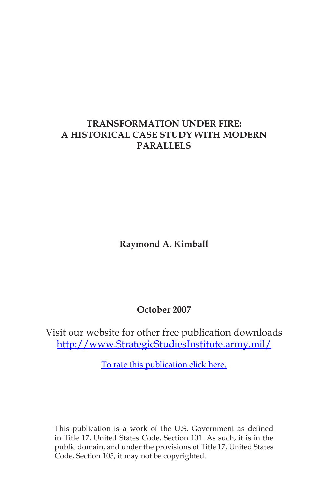## **TRANSFORMATION UNDER FIRE: A HISTORICAL CASE STUDY WITH MODERN PARALLELS**

**Raymond A. Kimball**

**October 2007**

Visit our website for other free publication downloads [http://www.StrategicStudiesInstitute.army.mil/](http://www.StrategicStudiesInstitute.army.mil)

[To rate this publication click here.](http://www.strategicstudiesinstitute.army.mil/pubs/display.cfm?pubID=810)

This publication is a work of the U.S. Government as defined in Title 17, United States Code, Section 101. As such, it is in the public domain, and under the provisions of Title 17, United States Code, Section 105, it may not be copyrighted.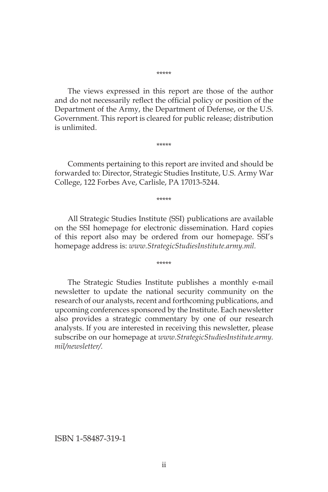\*\*\*\*\*

The views expressed in this report are those of the author and do not necessarily reflect the official policy or position of the Department of the Army, the Department of Defense, or the U.S. Government. This report is cleared for public release; distribution is unlimited.

\*\*\*\*\*

Comments pertaining to this report are invited and should be forwarded to: Director, Strategic Studies Institute, U.S. Army War College, 122 Forbes Ave, Carlisle, PA 17013-5244.

\*\*\*\*\*

All Strategic Studies Institute (SSI) publications are available on the SSI homepage for electronic dissemination. Hard copies of this report also may be ordered from our homepage. SSI's homepage address is: *www.StrategicStudiesInstitute.army.mil.*

\*\*\*\*\*

The Strategic Studies Institute publishes a monthly e-mail newsletter to update the national security community on the research of our analysts, recent and forthcoming publications, and upcoming conferences sponsored by the Institute. Each newsletter also provides a strategic commentary by one of our research analysts. If you are interested in receiving this newsletter, please subscribe on our homepage at *www.StrategicStudiesInstitute.army. mil/newsletter/.*

ISBN 1-58487-319-1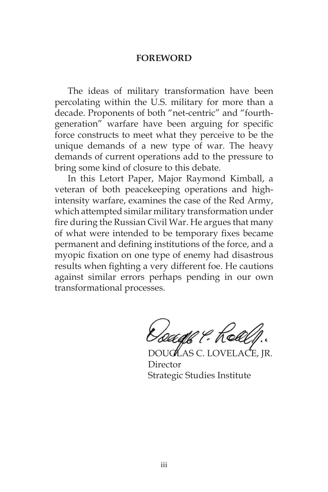#### **FOREWORD**

The ideas of military transformation have been percolating within the U.S. military for more than a decade. Proponents of both "net-centric" and "fourthgeneration" warfare have been arguing for specific force constructs to meet what they perceive to be the unique demands of a new type of war. The heavy demands of current operations add to the pressure to bring some kind of closure to this debate.

In this Letort Paper, Major Raymond Kimball, a veteran of both peacekeeping operations and highintensity warfare, examines the case of the Red Army, which attempted similar military transformation under fire during the Russian Civil War. He argues that many of what were intended to be temporary fixes became permanent and defining institutions of the force, and a myopic fixation on one type of enemy had disastrous results when fighting a very different foe. He cautions against similar errors perhaps pending in our own transformational processes.

*loadh ?* : Kob

 $\mathcal{H}$  as c. lovel Director Strategic Studies Institute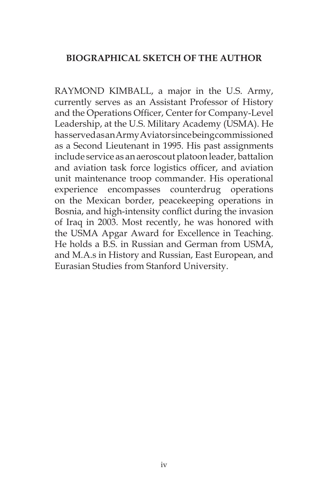## **BIOGRAPHICAL SKETCH OF THE AUTHOR**

RAYMOND KIMBALL, a major in the U.S. Army, currently serves as an Assistant Professor of History and the Operations Officer, Center for Company-Level Leadership, at the U.S. Military Academy (USMA). He has served as an Army Aviator since being commissioned as a Second Lieutenant in 1995. His past assignments include service as an aeroscout platoon leader, battalion and aviation task force logistics officer, and aviation unit maintenance troop commander. His operational experience encompasses counterdrug operations on the Mexican border, peacekeeping operations in Bosnia, and high-intensity conflict during the invasion of Iraq in 2003. Most recently, he was honored with the USMA Apgar Award for Excellence in Teaching. He holds a B.S. in Russian and German from USMA, and M.A.s in History and Russian, East European, and Eurasian Studies from Stanford University.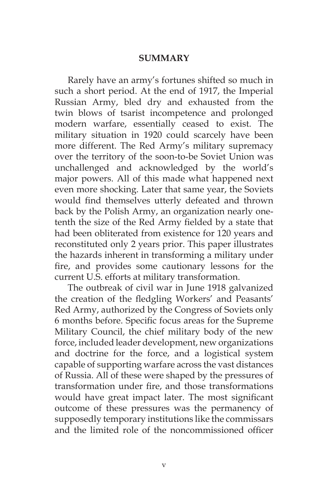#### **SUMMARY**

Rarely have an army's fortunes shifted so much in such a short period. At the end of 1917, the Imperial Russian Army, bled dry and exhausted from the twin blows of tsarist incompetence and prolonged modern warfare, essentially ceased to exist. The military situation in 1920 could scarcely have been more different. The Red Army's military supremacy over the territory of the soon-to-be Soviet Union was unchallenged and acknowledged by the world's major powers. All of this made what happened next even more shocking. Later that same year, the Soviets would find themselves utterly defeated and thrown back by the Polish Army, an organization nearly onetenth the size of the Red Army fielded by a state that had been obliterated from existence for 120 years and reconstituted only 2 years prior. This paper illustrates the hazards inherent in transforming a military under fire, and provides some cautionary lessons for the current U.S. efforts at military transformation.

The outbreak of civil war in June 1918 galvanized the creation of the fledgling Workers' and Peasants' Red Army, authorized by the Congress of Soviets only 6 months before. Specific focus areas for the Supreme Military Council, the chief military body of the new force, included leader development, new organizations and doctrine for the force, and a logistical system capable of supporting warfare across the vast distances of Russia. All of these were shaped by the pressures of transformation under fire, and those transformations would have great impact later. The most significant outcome of these pressures was the permanency of supposedly temporary institutions like the commissars and the limited role of the noncommissioned officer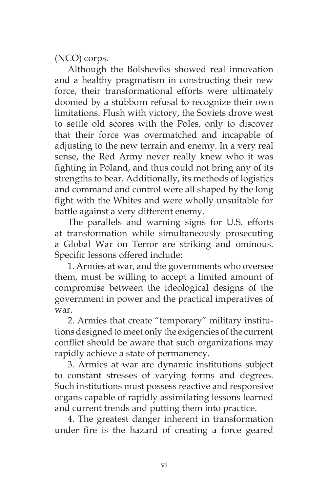(NCO) corps.

Although the Bolsheviks showed real innovation and a healthy pragmatism in constructing their new force, their transformational efforts were ultimately doomed by a stubborn refusal to recognize their own limitations. Flush with victory, the Soviets drove west to settle old scores with the Poles, only to discover that their force was overmatched and incapable of adjusting to the new terrain and enemy. In a very real sense, the Red Army never really knew who it was fighting in Poland, and thus could not bring any of its strengths to bear. Additionally, its methods of logistics and command and control were all shaped by the long fight with the Whites and were wholly unsuitable for battle against a very different enemy.

The parallels and warning signs for U.S. efforts at transformation while simultaneously prosecuting a Global War on Terror are striking and ominous. Specific lessons offered include:

1. Armies at war, and the governments who oversee them, must be willing to accept a limited amount of compromise between the ideological designs of the government in power and the practical imperatives of war.

2. Armies that create "temporary" military institutions designed to meet only the exigencies of the current conflict should be aware that such organizations may rapidly achieve a state of permanency.

3. Armies at war are dynamic institutions subject to constant stresses of varying forms and degrees. Such institutions must possess reactive and responsive organs capable of rapidly assimilating lessons learned and current trends and putting them into practice.

4. The greatest danger inherent in transformation under fire is the hazard of creating a force geared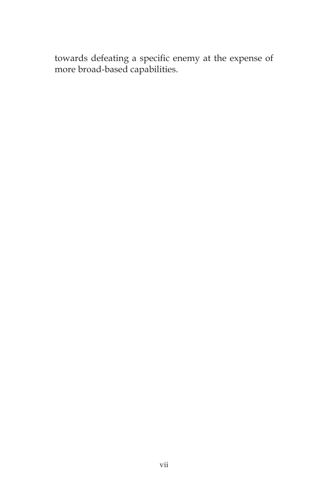towards defeating a specific enemy at the expense of more broad-based capabilities.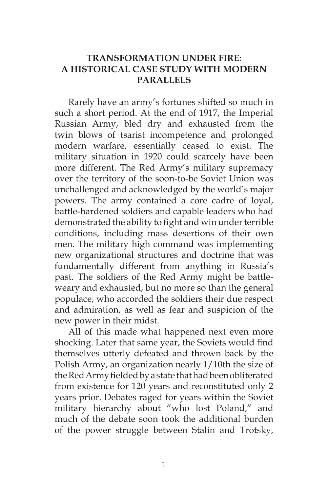## **TRANSFORMATION UNDER FIRE: A HISTORICAL CASE STUDY WITH MODERN PARALLELS**

Rarely have an army's fortunes shifted so much in such a short period. At the end of 1917, the Imperial Russian Army, bled dry and exhausted from the twin blows of tsarist incompetence and prolonged modern warfare, essentially ceased to exist. The military situation in 1920 could scarcely have been more different. The Red Army's military supremacy over the territory of the soon-to-be Soviet Union was unchallenged and acknowledged by the world's major powers. The army contained a core cadre of loyal, battle-hardened soldiers and capable leaders who had demonstrated the ability to fight and win under terrible conditions, including mass desertions of their own men. The military high command was implementing new organizational structures and doctrine that was fundamentally different from anything in Russia's past. The soldiers of the Red Army might be battleweary and exhausted, but no more so than the general populace, who accorded the soldiers their due respect and admiration, as well as fear and suspicion of the new power in their midst.

All of this made what happened next even more shocking. Later that same year, the Soviets would find themselves utterly defeated and thrown back by the Polish Army, an organization nearly 1/10th the size of the Red Army fielded by a state that had been obliterated from existence for 120 years and reconstituted only 2 years prior. Debates raged for years within the Soviet military hierarchy about "who lost Poland," and much of the debate soon took the additional burden of the power struggle between Stalin and Trotsky,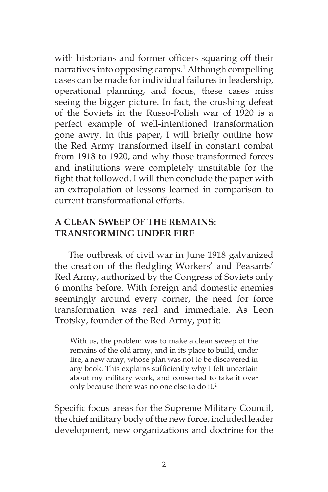with historians and former officers squaring off their narratives into opposing camps.<sup>1</sup> Although compelling cases can be made for individual failures in leadership, operational planning, and focus, these cases miss seeing the bigger picture. In fact, the crushing defeat of the Soviets in the Russo-Polish war of 1920 is a perfect example of well-intentioned transformation gone awry. In this paper, I will briefly outline how the Red Army transformed itself in constant combat from 1918 to 1920, and why those transformed forces and institutions were completely unsuitable for the fight that followed. I will then conclude the paper with an extrapolation of lessons learned in comparison to current transformational efforts.

# **A CLEAN SWEEP OF THE REMAINS: TRANSFORMING UNDER FIRE**

The outbreak of civil war in June 1918 galvanized the creation of the fledgling Workers' and Peasants' Red Army, authorized by the Congress of Soviets only 6 months before. With foreign and domestic enemies seemingly around every corner, the need for force transformation was real and immediate. As Leon Trotsky, founder of the Red Army, put it:

With us, the problem was to make a clean sweep of the remains of the old army, and in its place to build, under fire, a new army, whose plan was not to be discovered in any book. This explains sufficiently why I felt uncertain about my military work, and consented to take it over only because there was no one else to do it.<sup>2</sup>

Specific focus areas for the Supreme Military Council, the chief military body of the new force, included leader development, new organizations and doctrine for the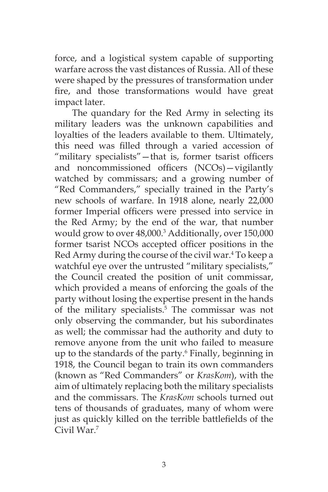force, and a logistical system capable of supporting warfare across the vast distances of Russia. All of these were shaped by the pressures of transformation under fire, and those transformations would have great impact later.

The quandary for the Red Army in selecting its military leaders was the unknown capabilities and loyalties of the leaders available to them. Ultimately, this need was filled through a varied accession of "military specialists"—that is, former tsarist officers and noncommissioned officers (NCOs)—vigilantly watched by commissars; and a growing number of "Red Commanders," specially trained in the Party's new schools of warfare. In 1918 alone, nearly 22,000 former Imperial officers were pressed into service in the Red Army; by the end of the war, that number would grow to over 48,000.3 Additionally, over 150,000 former tsarist NCOs accepted officer positions in the Red Army during the course of the civil war.4 To keep a watchful eye over the untrusted "military specialists," the Council created the position of unit commissar, which provided a means of enforcing the goals of the party without losing the expertise present in the hands of the military specialists.5 The commissar was not only observing the commander, but his subordinates as well; the commissar had the authority and duty to remove anyone from the unit who failed to measure up to the standards of the party.6 Finally, beginning in 1918, the Council began to train its own commanders (known as "Red Commanders" or *KrasKom*), with the aim of ultimately replacing both the military specialists and the commissars. The *KrasKom* schools turned out tens of thousands of graduates, many of whom were just as quickly killed on the terrible battlefields of the Civil War<sup>7</sup>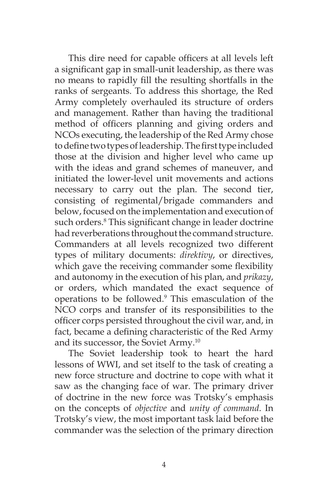This dire need for capable officers at all levels left a significant gap in small-unit leadership, as there was no means to rapidly fill the resulting shortfalls in the ranks of sergeants. To address this shortage, the Red Army completely overhauled its structure of orders and management. Rather than having the traditional method of officers planning and giving orders and NCOs executing, the leadership of the Red Army chose to define two types of leadership. The first type included those at the division and higher level who came up with the ideas and grand schemes of maneuver, and initiated the lower-level unit movements and actions necessary to carry out the plan. The second tier, consisting of regimental/brigade commanders and below, focused on the implementation and execution of such orders.<sup>8</sup> This significant change in leader doctrine had reverberations throughout the command structure. Commanders at all levels recognized two different types of military documents: *direktivy*, or directives, which gave the receiving commander some flexibility and autonomy in the execution of his plan, and *prikazy*, or orders, which mandated the exact sequence of operations to be followed.<sup>9</sup> This emasculation of the NCO corps and transfer of its responsibilities to the officer corps persisted throughout the civil war, and, in fact, became a defining characteristic of the Red Army and its successor, the Soviet Army.10

The Soviet leadership took to heart the hard lessons of WWI, and set itself to the task of creating a new force structure and doctrine to cope with what it saw as the changing face of war. The primary driver of doctrine in the new force was Trotsky's emphasis on the concepts of *objective* and *unity of command*. In Trotsky's view, the most important task laid before the commander was the selection of the primary direction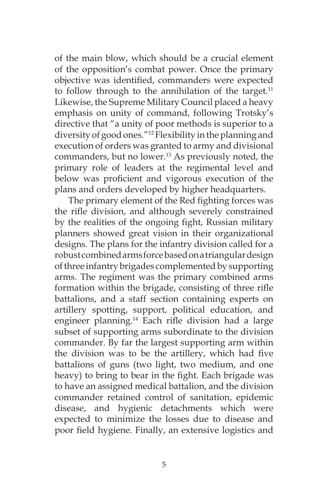of the main blow, which should be a crucial element of the opposition's combat power. Once the primary objective was identified, commanders were expected to follow through to the annihilation of the target. $11$ Likewise, the Supreme Military Council placed a heavy emphasis on unity of command, following Trotsky's directive that "a unity of poor methods is superior to a diversity of good ones."12 Flexibility in the planning and execution of orders was granted to army and divisional commanders, but no lower.<sup>13</sup> As previously noted, the primary role of leaders at the regimental level and below was proficient and vigorous execution of the plans and orders developed by higher headquarters.

The primary element of the Red fighting forces was the rifle division, and although severely constrained by the realities of the ongoing fight, Russian military planners showed great vision in their organizational designs. The plans for the infantry division called for a robust combined arms force based on a triangular design of three infantry brigades complemented by supporting arms. The regiment was the primary combined arms formation within the brigade, consisting of three rifle battalions, and a staff section containing experts on artillery spotting, support, political education, and engineer planning.14 Each rifle division had a large subset of supporting arms subordinate to the division commander. By far the largest supporting arm within the division was to be the artillery, which had five battalions of guns (two light, two medium, and one heavy) to bring to bear in the fight. Each brigade was to have an assigned medical battalion, and the division commander retained control of sanitation, epidemic disease, and hygienic detachments which were expected to minimize the losses due to disease and poor field hygiene. Finally, an extensive logistics and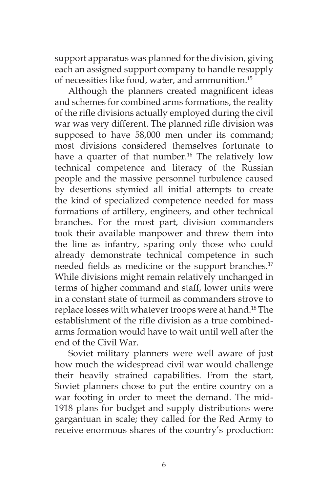support apparatus was planned for the division, giving each an assigned support company to handle resupply of necessities like food, water, and ammunition.<sup>15</sup>

Although the planners created magnificent ideas and schemes for combined arms formations, the reality of the rifle divisions actually employed during the civil war was very different. The planned rifle division was supposed to have 58,000 men under its command; most divisions considered themselves fortunate to have a quarter of that number.<sup>16</sup> The relatively low technical competence and literacy of the Russian people and the massive personnel turbulence caused by desertions stymied all initial attempts to create the kind of specialized competence needed for mass formations of artillery, engineers, and other technical branches. For the most part, division commanders took their available manpower and threw them into the line as infantry, sparing only those who could already demonstrate technical competence in such needed fields as medicine or the support branches.<sup>17</sup> While divisions might remain relatively unchanged in terms of higher command and staff, lower units were in a constant state of turmoil as commanders strove to replace losses with whatever troops were at hand.<sup>18</sup> The establishment of the rifle division as a true combinedarms formation would have to wait until well after the end of the Civil War.

Soviet military planners were well aware of just how much the widespread civil war would challenge their heavily strained capabilities. From the start, Soviet planners chose to put the entire country on a war footing in order to meet the demand. The mid-1918 plans for budget and supply distributions were gargantuan in scale; they called for the Red Army to receive enormous shares of the country's production: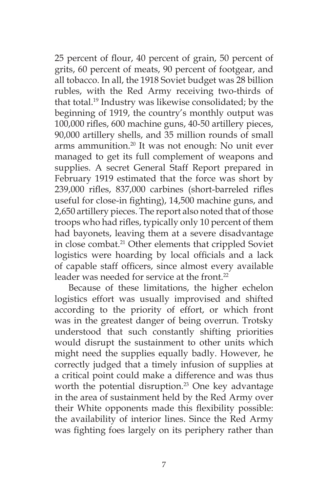25 percent of flour, 40 percent of grain, 50 percent of grits, 60 percent of meats, 90 percent of footgear, and all tobacco. In all, the 1918 Soviet budget was 28 billion rubles, with the Red Army receiving two-thirds of that total.19 Industry was likewise consolidated; by the beginning of 1919, the country's monthly output was 100,000 rifles, 600 machine guns, 40-50 artillery pieces, 90,000 artillery shells, and 35 million rounds of small arms ammunition.<sup>20</sup> It was not enough: No unit ever managed to get its full complement of weapons and supplies. A secret General Staff Report prepared in February 1919 estimated that the force was short by 239,000 rifles, 837,000 carbines (short-barreled rifles useful for close-in fighting), 14,500 machine guns, and 2,650 artillery pieces. The report also noted that of those troops who had rifles, typically only 10 percent of them had bayonets, leaving them at a severe disadvantage in close combat.<sup>21</sup> Other elements that crippled Soviet logistics were hoarding by local officials and a lack of capable staff officers, since almost every available leader was needed for service at the front.<sup>22</sup>

Because of these limitations, the higher echelon logistics effort was usually improvised and shifted according to the priority of effort, or which front was in the greatest danger of being overrun. Trotsky understood that such constantly shifting priorities would disrupt the sustainment to other units which might need the supplies equally badly. However, he correctly judged that a timely infusion of supplies at a critical point could make a difference and was thus worth the potential disruption.<sup>23</sup> One key advantage in the area of sustainment held by the Red Army over their White opponents made this flexibility possible: the availability of interior lines. Since the Red Army was fighting foes largely on its periphery rather than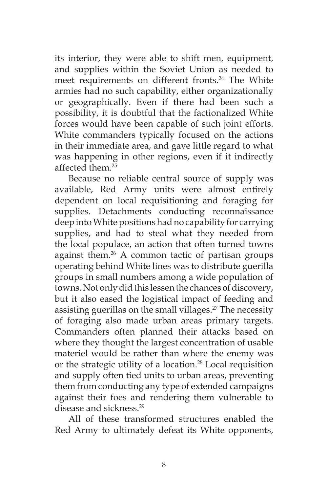its interior, they were able to shift men, equipment, and supplies within the Soviet Union as needed to meet requirements on different fronts.<sup>24</sup> The White armies had no such capability, either organizationally or geographically. Even if there had been such a possibility, it is doubtful that the factionalized White forces would have been capable of such joint efforts. White commanders typically focused on the actions in their immediate area, and gave little regard to what was happening in other regions, even if it indirectly affected them.25

Because no reliable central source of supply was available, Red Army units were almost entirely dependent on local requisitioning and foraging for supplies. Detachments conducting reconnaissance deep into White positions had no capability for carrying supplies, and had to steal what they needed from the local populace, an action that often turned towns against them.<sup>26</sup> A common tactic of partisan groups operating behind White lines was to distribute guerilla groups in small numbers among a wide population of towns. Not only did this lessen the chances of discovery, but it also eased the logistical impact of feeding and assisting guerillas on the small villages.<sup>27</sup> The necessity of foraging also made urban areas primary targets. Commanders often planned their attacks based on where they thought the largest concentration of usable materiel would be rather than where the enemy was or the strategic utility of a location.28 Local requisition and supply often tied units to urban areas, preventing them from conducting any type of extended campaigns against their foes and rendering them vulnerable to disease and sickness.<sup>29</sup>

All of these transformed structures enabled the Red Army to ultimately defeat its White opponents,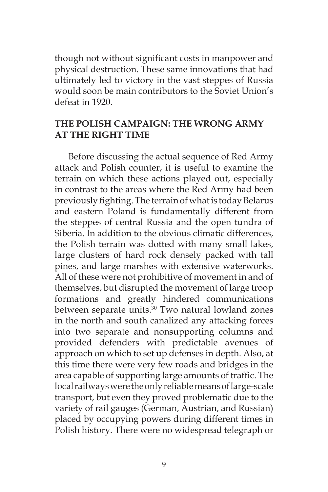though not without significant costs in manpower and physical destruction. These same innovations that had ultimately led to victory in the vast steppes of Russia would soon be main contributors to the Soviet Union's defeat in 1920

## **THE POLISH CAMPAIGN: THE WRONG ARMY AT THE RIGHT TIME**

Before discussing the actual sequence of Red Army attack and Polish counter, it is useful to examine the terrain on which these actions played out, especially in contrast to the areas where the Red Army had been previously fighting. The terrain of what is today Belarus and eastern Poland is fundamentally different from the steppes of central Russia and the open tundra of Siberia. In addition to the obvious climatic differences, the Polish terrain was dotted with many small lakes, large clusters of hard rock densely packed with tall pines, and large marshes with extensive waterworks. All of these were not prohibitive of movement in and of themselves, but disrupted the movement of large troop formations and greatly hindered communications between separate units.<sup>30</sup> Two natural lowland zones in the north and south canalized any attacking forces into two separate and nonsupporting columns and provided defenders with predictable avenues of approach on which to set up defenses in depth. Also, at this time there were very few roads and bridges in the area capable of supporting large amounts of traffic. The local railways were the only reliable means of large-scale transport, but even they proved problematic due to the variety of rail gauges (German, Austrian, and Russian) placed by occupying powers during different times in Polish history. There were no widespread telegraph or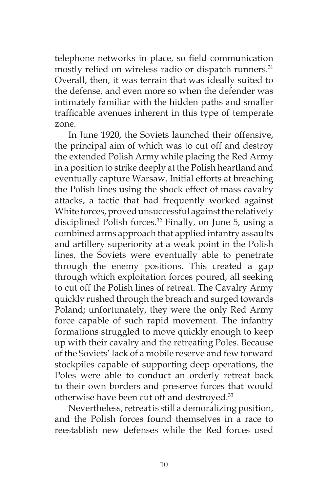telephone networks in place, so field communication mostly relied on wireless radio or dispatch runners.<sup>31</sup> Overall, then, it was terrain that was ideally suited to the defense, and even more so when the defender was intimately familiar with the hidden paths and smaller trafficable avenues inherent in this type of temperate zone.

In June 1920, the Soviets launched their offensive, the principal aim of which was to cut off and destroy the extended Polish Army while placing the Red Army in a position to strike deeply at the Polish heartland and eventually capture Warsaw. Initial efforts at breaching the Polish lines using the shock effect of mass cavalry attacks, a tactic that had frequently worked against White forces, proved unsuccessful against the relatively disciplined Polish forces.<sup>32</sup> Finally, on June 5, using a combined arms approach that applied infantry assaults and artillery superiority at a weak point in the Polish lines, the Soviets were eventually able to penetrate through the enemy positions. This created a gap through which exploitation forces poured, all seeking to cut off the Polish lines of retreat. The Cavalry Army quickly rushed through the breach and surged towards Poland; unfortunately, they were the only Red Army force capable of such rapid movement. The infantry formations struggled to move quickly enough to keep up with their cavalry and the retreating Poles. Because of the Soviets' lack of a mobile reserve and few forward stockpiles capable of supporting deep operations, the Poles were able to conduct an orderly retreat back to their own borders and preserve forces that would otherwise have been cut off and destroyed.<sup>33</sup>

Nevertheless, retreat is still a demoralizing position, and the Polish forces found themselves in a race to reestablish new defenses while the Red forces used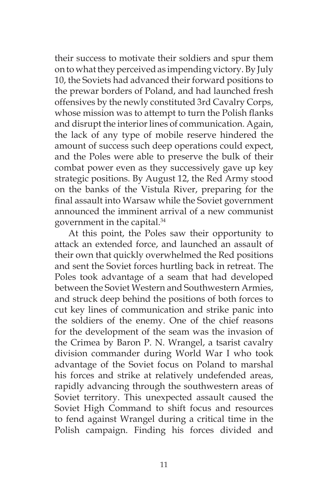their success to motivate their soldiers and spur them on to what they perceived as impending victory. By July 10, the Soviets had advanced their forward positions to the prewar borders of Poland, and had launched fresh offensives by the newly constituted 3rd Cavalry Corps, whose mission was to attempt to turn the Polish flanks and disrupt the interior lines of communication. Again, the lack of any type of mobile reserve hindered the amount of success such deep operations could expect, and the Poles were able to preserve the bulk of their combat power even as they successively gave up key strategic positions. By August 12, the Red Army stood on the banks of the Vistula River, preparing for the final assault into Warsaw while the Soviet government announced the imminent arrival of a new communist government in the capital.34

At this point, the Poles saw their opportunity to attack an extended force, and launched an assault of their own that quickly overwhelmed the Red positions and sent the Soviet forces hurtling back in retreat. The Poles took advantage of a seam that had developed between the Soviet Western and Southwestern Armies, and struck deep behind the positions of both forces to cut key lines of communication and strike panic into the soldiers of the enemy. One of the chief reasons for the development of the seam was the invasion of the Crimea by Baron P. N. Wrangel, a tsarist cavalry division commander during World War I who took advantage of the Soviet focus on Poland to marshal his forces and strike at relatively undefended areas, rapidly advancing through the southwestern areas of Soviet territory. This unexpected assault caused the Soviet High Command to shift focus and resources to fend against Wrangel during a critical time in the Polish campaign. Finding his forces divided and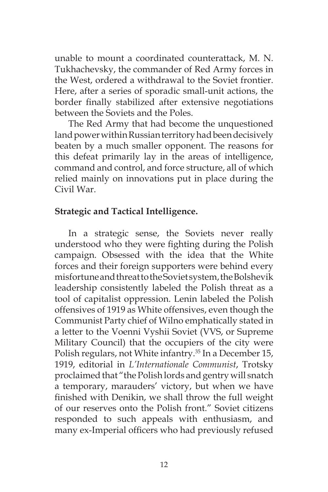unable to mount a coordinated counterattack, M. N. Tukhachevsky, the commander of Red Army forces in the West, ordered a withdrawal to the Soviet frontier. Here, after a series of sporadic small-unit actions, the border finally stabilized after extensive negotiations between the Soviets and the Poles.

The Red Army that had become the unquestioned land power within Russian territory had been decisively beaten by a much smaller opponent. The reasons for this defeat primarily lay in the areas of intelligence, command and control, and force structure, all of which relied mainly on innovations put in place during the Civil War.

## **Strategic and Tactical Intelligence.**

In a strategic sense, the Soviets never really understood who they were fighting during the Polish campaign. Obsessed with the idea that the White forces and their foreign supporters were behind every misfortune and threat to the Soviet system, the Bolshevik leadership consistently labeled the Polish threat as a tool of capitalist oppression. Lenin labeled the Polish offensives of 1919 as White offensives, even though the Communist Party chief of Wilno emphatically stated in a letter to the Voenni Vyshii Soviet (VVS, or Supreme Military Council) that the occupiers of the city were Polish regulars, not White infantry.<sup>35</sup> In a December 15, 1919, editorial in *L'Internationale Communist*, Trotsky proclaimed that "the Polish lords and gentry will snatch a temporary, marauders' victory, but when we have finished with Denikin, we shall throw the full weight of our reserves onto the Polish front." Soviet citizens responded to such appeals with enthusiasm, and many ex-Imperial officers who had previously refused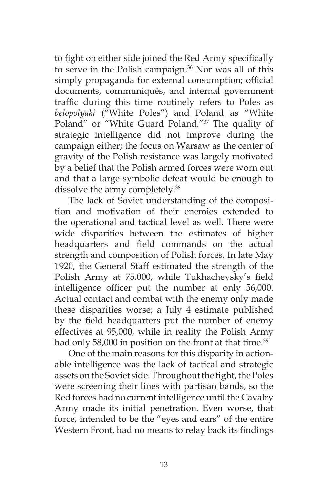to fight on either side joined the Red Army specifically to serve in the Polish campaign.<sup>36</sup> Nor was all of this simply propaganda for external consumption; official documents, communiqués, and internal government traffic during this time routinely refers to Poles as *belopolyaki* ("White Poles") and Poland as "White Poland" or "White Guard Poland."37 The quality of strategic intelligence did not improve during the campaign either; the focus on Warsaw as the center of gravity of the Polish resistance was largely motivated by a belief that the Polish armed forces were worn out and that a large symbolic defeat would be enough to dissolve the army completely.38

The lack of Soviet understanding of the composition and motivation of their enemies extended to the operational and tactical level as well. There were wide disparities between the estimates of higher headquarters and field commands on the actual strength and composition of Polish forces. In late May 1920, the General Staff estimated the strength of the Polish Army at 75,000, while Tukhachevsky's field intelligence officer put the number at only 56,000. Actual contact and combat with the enemy only made these disparities worse; a July 4 estimate published by the field headquarters put the number of enemy effectives at 95,000, while in reality the Polish Army had only 58,000 in position on the front at that time.<sup>39</sup>

One of the main reasons for this disparity in actionable intelligence was the lack of tactical and strategic assets on the Soviet side. Throughout the fight, the Poles were screening their lines with partisan bands, so the Red forces had no current intelligence until the Cavalry Army made its initial penetration. Even worse, that force, intended to be the "eyes and ears" of the entire Western Front, had no means to relay back its findings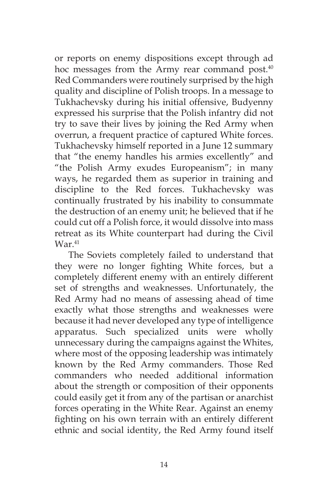or reports on enemy dispositions except through ad hoc messages from the Army rear command post.<sup>40</sup> Red Commanders were routinely surprised by the high quality and discipline of Polish troops. In a message to Tukhachevsky during his initial offensive, Budyenny expressed his surprise that the Polish infantry did not try to save their lives by joining the Red Army when overrun, a frequent practice of captured White forces. Tukhachevsky himself reported in a June 12 summary that "the enemy handles his armies excellently" and "the Polish Army exudes Europeanism"; in many ways, he regarded them as superior in training and discipline to the Red forces. Tukhachevsky was continually frustrated by his inability to consummate the destruction of an enemy unit; he believed that if he could cut off a Polish force, it would dissolve into mass retreat as its White counterpart had during the Civil War.<sup>41</sup>

The Soviets completely failed to understand that they were no longer fighting White forces, but a completely different enemy with an entirely different set of strengths and weaknesses. Unfortunately, the Red Army had no means of assessing ahead of time exactly what those strengths and weaknesses were because it had never developed any type of intelligence apparatus. Such specialized units were wholly unnecessary during the campaigns against the Whites, where most of the opposing leadership was intimately known by the Red Army commanders. Those Red commanders who needed additional information about the strength or composition of their opponents could easily get it from any of the partisan or anarchist forces operating in the White Rear. Against an enemy fighting on his own terrain with an entirely different ethnic and social identity, the Red Army found itself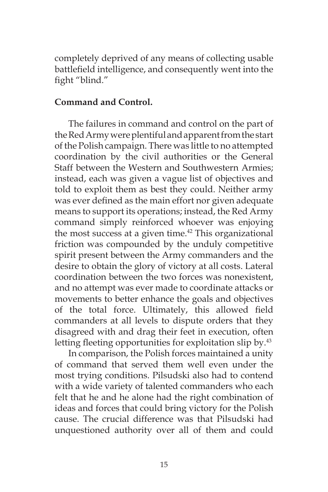completely deprived of any means of collecting usable battlefield intelligence, and consequently went into the fight "blind."

## **Command and Control.**

The failures in command and control on the part of the Red Army were plentiful and apparent from the start of the Polish campaign. There was little to no attempted coordination by the civil authorities or the General Staff between the Western and Southwestern Armies; instead, each was given a vague list of objectives and told to exploit them as best they could. Neither army was ever defined as the main effort nor given adequate means to support its operations; instead, the Red Army command simply reinforced whoever was enjoying the most success at a given time. $42$  This organizational friction was compounded by the unduly competitive spirit present between the Army commanders and the desire to obtain the glory of victory at all costs. Lateral coordination between the two forces was nonexistent, and no attempt was ever made to coordinate attacks or movements to better enhance the goals and objectives of the total force. Ultimately, this allowed field commanders at all levels to dispute orders that they disagreed with and drag their feet in execution, often letting fleeting opportunities for exploitation slip by.<sup>43</sup>

In comparison, the Polish forces maintained a unity of command that served them well even under the most trying conditions. Pilsudski also had to contend with a wide variety of talented commanders who each felt that he and he alone had the right combination of ideas and forces that could bring victory for the Polish cause. The crucial difference was that Pilsudski had unquestioned authority over all of them and could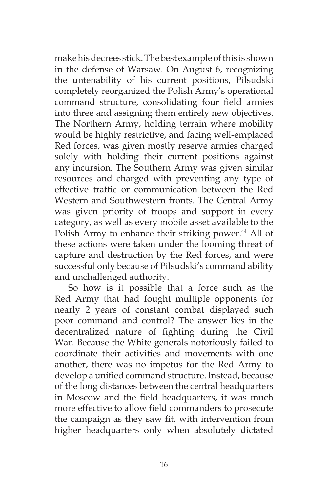make his decrees stick. The best example of this is shown in the defense of Warsaw. On August 6, recognizing the untenability of his current positions, Pilsudski completely reorganized the Polish Army's operational command structure, consolidating four field armies into three and assigning them entirely new objectives. The Northern Army, holding terrain where mobility would be highly restrictive, and facing well-emplaced Red forces, was given mostly reserve armies charged solely with holding their current positions against any incursion. The Southern Army was given similar resources and charged with preventing any type of effective traffic or communication between the Red Western and Southwestern fronts. The Central Army was given priority of troops and support in every category, as well as every mobile asset available to the Polish Army to enhance their striking power.<sup>44</sup> All of these actions were taken under the looming threat of capture and destruction by the Red forces, and were successful only because of Pilsudski's command ability and unchallenged authority.

So how is it possible that a force such as the Red Army that had fought multiple opponents for nearly 2 years of constant combat displayed such poor command and control? The answer lies in the decentralized nature of fighting during the Civil War. Because the White generals notoriously failed to coordinate their activities and movements with one another, there was no impetus for the Red Army to develop a unified command structure. Instead, because of the long distances between the central headquarters in Moscow and the field headquarters, it was much more effective to allow field commanders to prosecute the campaign as they saw fit, with intervention from higher headquarters only when absolutely dictated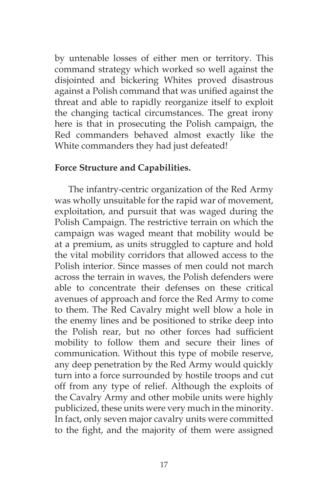by untenable losses of either men or territory. This command strategy which worked so well against the disjointed and bickering Whites proved disastrous against a Polish command that was unified against the threat and able to rapidly reorganize itself to exploit the changing tactical circumstances. The great irony here is that in prosecuting the Polish campaign, the Red commanders behaved almost exactly like the White commanders they had just defeated!

#### **Force Structure and Capabilities.**

The infantry-centric organization of the Red Army was wholly unsuitable for the rapid war of movement, exploitation, and pursuit that was waged during the Polish Campaign. The restrictive terrain on which the campaign was waged meant that mobility would be at a premium, as units struggled to capture and hold the vital mobility corridors that allowed access to the Polish interior. Since masses of men could not march across the terrain in waves, the Polish defenders were able to concentrate their defenses on these critical avenues of approach and force the Red Army to come to them. The Red Cavalry might well blow a hole in the enemy lines and be positioned to strike deep into the Polish rear, but no other forces had sufficient mobility to follow them and secure their lines of communication. Without this type of mobile reserve, any deep penetration by the Red Army would quickly turn into a force surrounded by hostile troops and cut off from any type of relief. Although the exploits of the Cavalry Army and other mobile units were highly publicized, these units were very much in the minority. In fact, only seven major cavalry units were committed to the fight, and the majority of them were assigned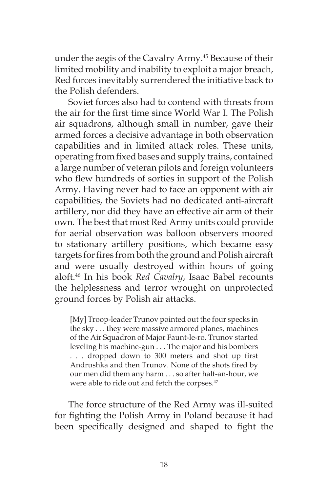under the aegis of the Cavalry Army.<sup>45</sup> Because of their limited mobility and inability to exploit a major breach, Red forces inevitably surrendered the initiative back to the Polish defenders.

Soviet forces also had to contend with threats from the air for the first time since World War I. The Polish air squadrons, although small in number, gave their armed forces a decisive advantage in both observation capabilities and in limited attack roles. These units, operating from fixed bases and supply trains, contained a large number of veteran pilots and foreign volunteers who flew hundreds of sorties in support of the Polish Army. Having never had to face an opponent with air capabilities, the Soviets had no dedicated anti-aircraft artillery, nor did they have an effective air arm of their own. The best that most Red Army units could provide for aerial observation was balloon observers moored to stationary artillery positions, which became easy targets for fires from both the ground and Polish aircraft and were usually destroyed within hours of going aloft.46 In his book *Red Cavalry*, Isaac Babel recounts the helplessness and terror wrought on unprotected ground forces by Polish air attacks.

[My] Troop-leader Trunov pointed out the four specks in the sky . . . they were massive armored planes, machines of the Air Squadron of Major Faunt-le-ro. Trunov started leveling his machine-gun . . . The major and his bombers . . . dropped down to 300 meters and shot up first Andrushka and then Trunov. None of the shots fired by our men did them any harm . . . so after half-an-hour, we were able to ride out and fetch the corpses.<sup>47</sup>

The force structure of the Red Army was ill-suited for fighting the Polish Army in Poland because it had been specifically designed and shaped to fight the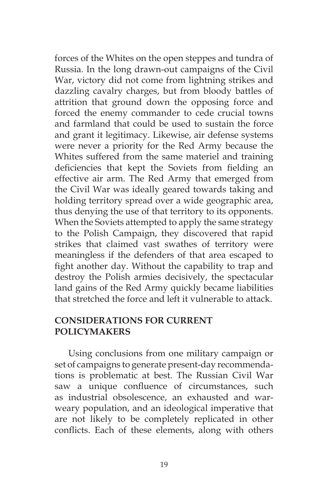forces of the Whites on the open steppes and tundra of Russia. In the long drawn-out campaigns of the Civil War, victory did not come from lightning strikes and dazzling cavalry charges, but from bloody battles of attrition that ground down the opposing force and forced the enemy commander to cede crucial towns and farmland that could be used to sustain the force and grant it legitimacy. Likewise, air defense systems were never a priority for the Red Army because the Whites suffered from the same materiel and training deficiencies that kept the Soviets from fielding an effective air arm. The Red Army that emerged from the Civil War was ideally geared towards taking and holding territory spread over a wide geographic area, thus denying the use of that territory to its opponents. When the Soviets attempted to apply the same strategy to the Polish Campaign, they discovered that rapid strikes that claimed vast swathes of territory were meaningless if the defenders of that area escaped to fight another day. Without the capability to trap and destroy the Polish armies decisively, the spectacular land gains of the Red Army quickly became liabilities that stretched the force and left it vulnerable to attack.

## **CONSIDERATIONS FOR CURRENT POLICYMAKERS**

Using conclusions from one military campaign or set of campaigns to generate present-day recommendations is problematic at best. The Russian Civil War saw a unique confluence of circumstances, such as industrial obsolescence, an exhausted and warweary population, and an ideological imperative that are not likely to be completely replicated in other conflicts. Each of these elements, along with others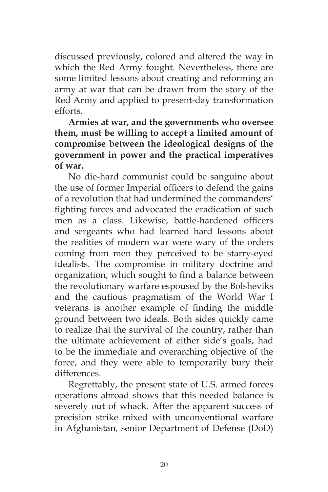discussed previously, colored and altered the way in which the Red Army fought. Nevertheless, there are some limited lessons about creating and reforming an army at war that can be drawn from the story of the Red Army and applied to present-day transformation efforts.

**Armies at war, and the governments who oversee them, must be willing to accept a limited amount of compromise between the ideological designs of the government in power and the practical imperatives of war.**

No die-hard communist could be sanguine about the use of former Imperial officers to defend the gains of a revolution that had undermined the commanders' fighting forces and advocated the eradication of such men as a class. Likewise, battle-hardened officers and sergeants who had learned hard lessons about the realities of modern war were wary of the orders coming from men they perceived to be starry-eyed idealists. The compromise in military doctrine and organization, which sought to find a balance between the revolutionary warfare espoused by the Bolsheviks and the cautious pragmatism of the World War I veterans is another example of finding the middle ground between two ideals. Both sides quickly came to realize that the survival of the country, rather than the ultimate achievement of either side's goals, had to be the immediate and overarching objective of the force, and they were able to temporarily bury their differences.

Regrettably, the present state of U.S. armed forces operations abroad shows that this needed balance is severely out of whack. After the apparent success of precision strike mixed with unconventional warfare in Afghanistan, senior Department of Defense (DoD)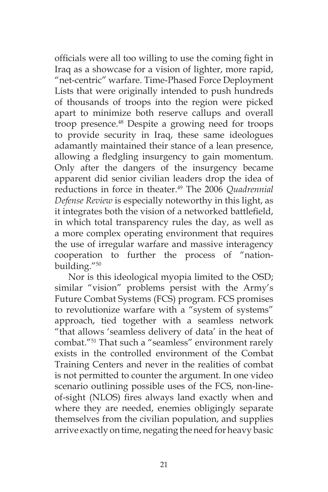officials were all too willing to use the coming fight in Iraq as a showcase for a vision of lighter, more rapid, "net-centric" warfare. Time-Phased Force Deployment Lists that were originally intended to push hundreds of thousands of troops into the region were picked apart to minimize both reserve callups and overall troop presence.<sup>48</sup> Despite a growing need for troops to provide security in Iraq, these same ideologues adamantly maintained their stance of a lean presence, allowing a fledgling insurgency to gain momentum. Only after the dangers of the insurgency became apparent did senior civilian leaders drop the idea of reductions in force in theater.49 The 2006 *Quadrennial Defense Review* is especially noteworthy in this light, as it integrates both the vision of a networked battlefield, in which total transparency rules the day, as well as a more complex operating environment that requires the use of irregular warfare and massive interagency cooperation to further the process of "nationbuilding."50

Nor is this ideological myopia limited to the OSD; similar "vision" problems persist with the Army's Future Combat Systems (FCS) program. FCS promises to revolutionize warfare with a "system of systems" approach, tied together with a seamless network "that allows 'seamless delivery of data' in the heat of combat."51 That such a "seamless" environment rarely exists in the controlled environment of the Combat Training Centers and never in the realities of combat is not permitted to counter the argument. In one video scenario outlining possible uses of the FCS, non-lineof-sight (NLOS) fires always land exactly when and where they are needed, enemies obligingly separate themselves from the civilian population, and supplies arrive exactly on time, negating the need for heavy basic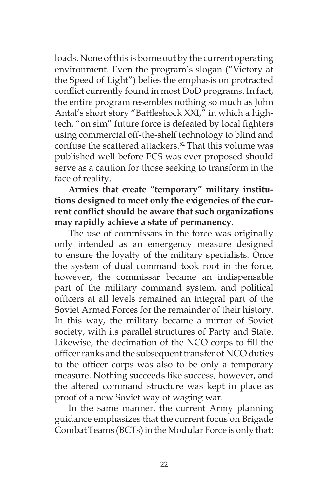loads. None of this is borne out by the current operating environment. Even the program's slogan ("Victory at the Speed of Light") belies the emphasis on protracted conflict currently found in most DoD programs. In fact, the entire program resembles nothing so much as John Antal's short story "Battleshock XXI," in which a hightech, "on sim" future force is defeated by local fighters using commercial off-the-shelf technology to blind and confuse the scattered attackers.52 That this volume was published well before FCS was ever proposed should serve as a caution for those seeking to transform in the face of reality.

**Armies that create "temporary" military institutions designed to meet only the exigencies of the current conflict should be aware that such organizations may rapidly achieve a state of permanency.**

The use of commissars in the force was originally only intended as an emergency measure designed to ensure the loyalty of the military specialists. Once the system of dual command took root in the force, however, the commissar became an indispensable part of the military command system, and political officers at all levels remained an integral part of the Soviet Armed Forces for the remainder of their history. In this way, the military became a mirror of Soviet society, with its parallel structures of Party and State. Likewise, the decimation of the NCO corps to fill the officer ranks and the subsequent transfer of NCO duties to the officer corps was also to be only a temporary measure. Nothing succeeds like success, however, and the altered command structure was kept in place as proof of a new Soviet way of waging war.

In the same manner, the current Army planning guidance emphasizes that the current focus on Brigade Combat Teams (BCTs) in the Modular Force is only that: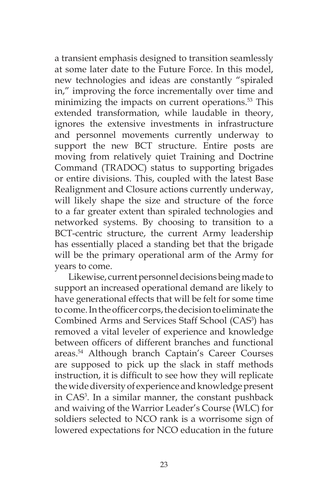a transient emphasis designed to transition seamlessly at some later date to the Future Force. In this model, new technologies and ideas are constantly "spiraled in," improving the force incrementally over time and minimizing the impacts on current operations.<sup>53</sup> This extended transformation, while laudable in theory, ignores the extensive investments in infrastructure and personnel movements currently underway to support the new BCT structure. Entire posts are moving from relatively quiet Training and Doctrine Command (TRADOC) status to supporting brigades or entire divisions. This, coupled with the latest Base Realignment and Closure actions currently underway, will likely shape the size and structure of the force to a far greater extent than spiraled technologies and networked systems. By choosing to transition to a BCT-centric structure, the current Army leadership has essentially placed a standing bet that the brigade will be the primary operational arm of the Army for years to come.

Likewise, current personnel decisions being made to support an increased operational demand are likely to have generational effects that will be felt for some time to come. In the officer corps, the decision to eliminate the Combined Arms and Services Staff School (CAS<sup>3</sup>) has removed a vital leveler of experience and knowledge between officers of different branches and functional areas.54 Although branch Captain's Career Courses are supposed to pick up the slack in staff methods instruction, it is difficult to see how they will replicate the wide diversity of experience and knowledge present in CAS3 . In a similar manner, the constant pushback and waiving of the Warrior Leader's Course (WLC) for soldiers selected to NCO rank is a worrisome sign of lowered expectations for NCO education in the future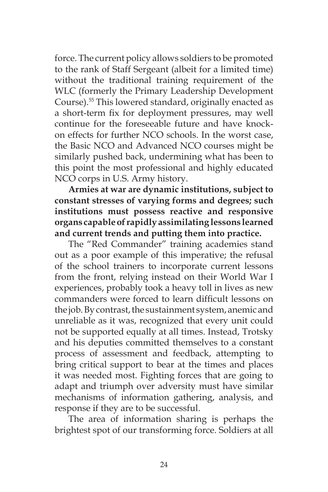force. The current policy allows soldiers to be promoted to the rank of Staff Sergeant (albeit for a limited time) without the traditional training requirement of the WLC (formerly the Primary Leadership Development Course).55 This lowered standard, originally enacted as a short-term fix for deployment pressures, may well continue for the foreseeable future and have knockon effects for further NCO schools. In the worst case, the Basic NCO and Advanced NCO courses might be similarly pushed back, undermining what has been to this point the most professional and highly educated NCO corps in U.S. Army history.

**Armies at war are dynamic institutions, subject to constant stresses of varying forms and degrees; such institutions must possess reactive and responsive organs capable of rapidly assimilating lessons learned and current trends and putting them into practice.** 

The "Red Commander" training academies stand out as a poor example of this imperative; the refusal of the school trainers to incorporate current lessons from the front, relying instead on their World War I experiences, probably took a heavy toll in lives as new commanders were forced to learn difficult lessons on the job. By contrast, the sustainment system, anemic and unreliable as it was, recognized that every unit could not be supported equally at all times. Instead, Trotsky and his deputies committed themselves to a constant process of assessment and feedback, attempting to bring critical support to bear at the times and places it was needed most. Fighting forces that are going to adapt and triumph over adversity must have similar mechanisms of information gathering, analysis, and response if they are to be successful.

The area of information sharing is perhaps the brightest spot of our transforming force. Soldiers at all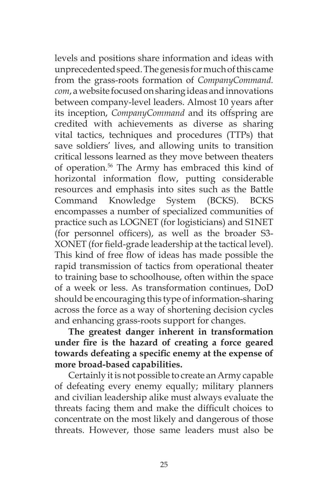levels and positions share information and ideas with unprecedented speed. The genesis for much of this came from the grass-roots formation of *CompanyCommand. com*, a website focused on sharing ideas and innovations between company-level leaders. Almost 10 years after its inception, *CompanyCommand* and its offspring are credited with achievements as diverse as sharing vital tactics, techniques and procedures (TTPs) that save soldiers' lives, and allowing units to transition critical lessons learned as they move between theaters of operation.56 The Army has embraced this kind of horizontal information flow, putting considerable resources and emphasis into sites such as the Battle Command Knowledge System (BCKS). BCKS encompasses a number of specialized communities of practice such as LOGNET (for logisticians) and S1NET (for personnel officers), as well as the broader S3- XONET (for field-grade leadership at the tactical level). This kind of free flow of ideas has made possible the rapid transmission of tactics from operational theater to training base to schoolhouse, often within the space of a week or less. As transformation continues, DoD should be encouraging this type of information-sharing across the force as a way of shortening decision cycles and enhancing grass-roots support for changes.

**The greatest danger inherent in transformation under fire is the hazard of creating a force geared towards defeating a specific enemy at the expense of more broad-based capabilities.**

Certainly it is not possible to create an Army capable of defeating every enemy equally; military planners and civilian leadership alike must always evaluate the threats facing them and make the difficult choices to concentrate on the most likely and dangerous of those threats. However, those same leaders must also be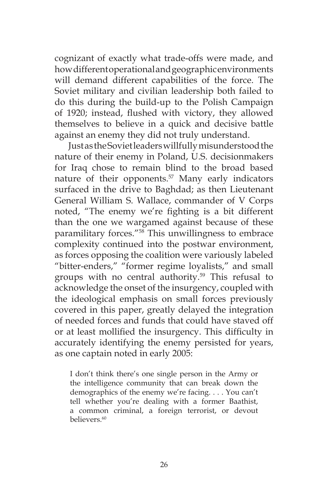cognizant of exactly what trade-offs were made, and how different operational and geographic environments will demand different capabilities of the force. The Soviet military and civilian leadership both failed to do this during the build-up to the Polish Campaign of 1920; instead, flushed with victory, they allowed themselves to believe in a quick and decisive battle against an enemy they did not truly understand.

Just as the Soviet leaders willfully misunderstood the nature of their enemy in Poland, U.S. decisionmakers for Iraq chose to remain blind to the broad based nature of their opponents.<sup>57</sup> Many early indicators surfaced in the drive to Baghdad; as then Lieutenant General William S. Wallace, commander of V Corps noted, "The enemy we're fighting is a bit different than the one we wargamed against because of these paramilitary forces."58 This unwillingness to embrace complexity continued into the postwar environment, as forces opposing the coalition were variously labeled "bitter-enders," "former regime loyalists," and small groups with no central authority.59 This refusal to acknowledge the onset of the insurgency, coupled with the ideological emphasis on small forces previously covered in this paper, greatly delayed the integration of needed forces and funds that could have staved off or at least mollified the insurgency. This difficulty in accurately identifying the enemy persisted for years, as one captain noted in early 2005:

I don't think there's one single person in the Army or the intelligence community that can break down the demographics of the enemy we're facing. . . . You can't tell whether you're dealing with a former Baathist, a common criminal, a foreign terrorist, or devout believers.60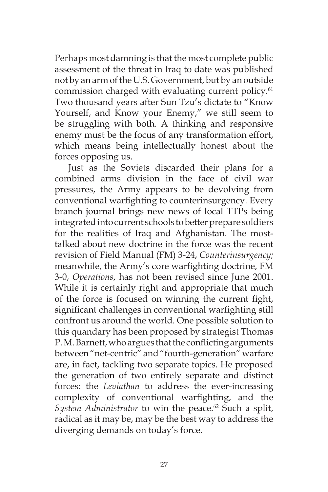Perhaps most damning is that the most complete public assessment of the threat in Iraq to date was published not by an arm of the U.S. Government, but by an outside commission charged with evaluating current policy.<sup>61</sup> Two thousand years after Sun Tzu's dictate to "Know Yourself, and Know your Enemy," we still seem to be struggling with both. A thinking and responsive enemy must be the focus of any transformation effort, which means being intellectually honest about the forces opposing us.

Just as the Soviets discarded their plans for a combined arms division in the face of civil war pressures, the Army appears to be devolving from conventional warfighting to counterinsurgency. Every branch journal brings new news of local TTPs being integrated into current schools to better prepare soldiers for the realities of Iraq and Afghanistan. The mosttalked about new doctrine in the force was the recent revision of Field Manual (FM) 3-24, *Counterinsurgency;*  meanwhile, the Army's core warfighting doctrine, FM 3-0, *Operations*, has not been revised since June 2001. While it is certainly right and appropriate that much of the force is focused on winning the current fight, significant challenges in conventional warfighting still confront us around the world. One possible solution to this quandary has been proposed by strategist Thomas P. M. Barnett, who argues that the conflicting arguments between "net-centric" and "fourth-generation" warfare are, in fact, tackling two separate topics. He proposed the generation of two entirely separate and distinct forces: the *Leviathan* to address the ever-increasing complexity of conventional warfighting, and the System Administrator to win the peace.<sup>62</sup> Such a split, radical as it may be, may be the best way to address the diverging demands on today's force.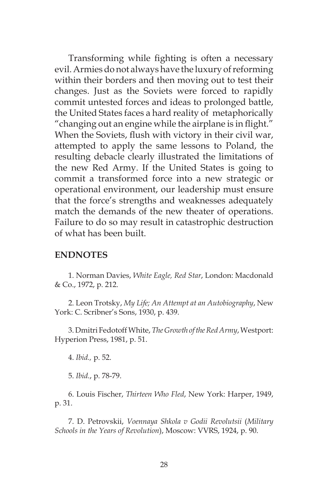Transforming while fighting is often a necessary evil. Armies do not always have the luxury of reforming within their borders and then moving out to test their changes. Just as the Soviets were forced to rapidly commit untested forces and ideas to prolonged battle, the United States faces a hard reality of metaphorically "changing out an engine while the airplane is in flight." When the Soviets, flush with victory in their civil war, attempted to apply the same lessons to Poland, the resulting debacle clearly illustrated the limitations of the new Red Army. If the United States is going to commit a transformed force into a new strategic or operational environment, our leadership must ensure that the force's strengths and weaknesses adequately match the demands of the new theater of operations. Failure to do so may result in catastrophic destruction of what has been built.

#### **ENDNOTES**

1. Norman Davies, *White Eagle, Red Star*, London: Macdonald & Co., 1972, p. 212.

2. Leon Trotsky, *My Life; An Attempt at an Autobiography*, New York: C. Scribner's Sons, 1930, p. 439.

3. Dmitri Fedotoff White, *The Growth of the Red Army*, Westport: Hyperion Press, 1981, p. 51.

4. *Ibid.,* p. 52.

5. *Ibid.*, p. 78-79.

6. Louis Fischer, *Thirteen Who Fled*, New York: Harper, 1949, p. 31.

7. D. Petrovskii, *Voennaya Shkola v Godii Revolutsii* (*Military Schools in the Years of Revolution*), Moscow: VVRS, 1924, p. 90.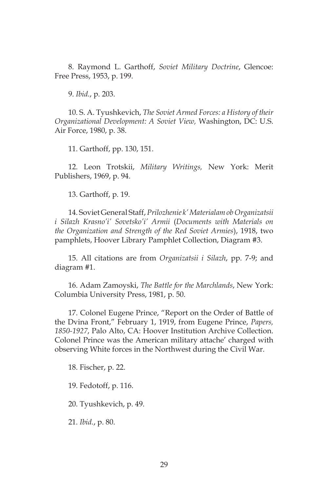8. Raymond L. Garthoff, *Soviet Military Doctrine*, Glencoe: Free Press, 1953, p. 199.

9. *Ibid.*, p. 203.

10. S. A. Tyushkevich, *The Soviet Armed Forces: a History of their Organizational Development: A Soviet View,* Washington, DC: U.S. Air Force, 1980, p. 38.

11. Garthoff, pp. 130, 151.

12. Leon Trotskii, *Military Writings,* New York: Merit Publishers, 1969, p. 94.

13. Garthoff, p. 19.

14. Soviet General Staff, *Prilozhenie k' Materialam ob Organizatsii i Silazh Krasno'i' Sovetsko'i' Armii* (*Documents with Materials on the Organization and Strength of the Red Soviet Armies*), 1918, two pamphlets, Hoover Library Pamphlet Collection, Diagram #3.

15. All citations are from *Organizatsii i Silazh*, pp. 7-9; and diagram #1.

16. Adam Zamoyski, *The Battle for the Marchlands*, New York: Columbia University Press, 1981, p. 50.

17. Colonel Eugene Prince, "Report on the Order of Battle of the Dvina Front," February 1, 1919, from Eugene Prince, *Papers, 1850-1927*, Palo Alto, CA: Hoover Institution Archive Collection. Colonel Prince was the American military attache' charged with observing White forces in the Northwest during the Civil War.

18. Fischer, p. 22.

19. Fedotoff, p. 116.

20. Tyushkevich, p. 49.

21. *Ibid.*, p. 80.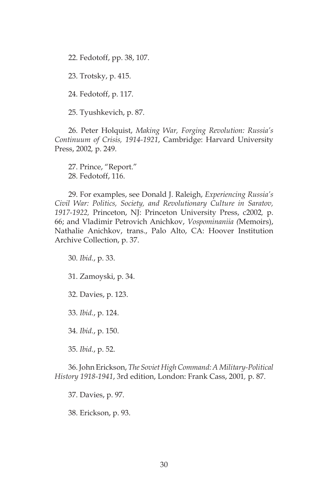22. Fedotoff, pp. 38, 107.

23. Trotsky, p. 415.

24. Fedotoff, p. 117.

25. Tyushkevich, p. 87.

26. Peter Holquist, *Making War, Forging Revolution: Russia's Continuum of Crisis, 1914-1921*, Cambridge: Harvard University Press, 2002*,* p. 249.

27. Prince, "Report." 28. Fedotoff, 116.

29. For examples, see Donald J. Raleigh, *Experiencing Russia's Civil War: Politics, Society, and Revolutionary Culture in Saratov, 1917-1922,* Princeton, NJ: Princeton University Press, c2002*,* p. 66; and Vladimir Petrovich Anichkov, *Vospominaniia (*Memoirs), Nathalie Anichkov, trans., Palo Alto, CA: Hoover Institution Archive Collection, p. 37.

30. *Ibid.*, p. 33.

31. Zamoyski, p. 34.

32. Davies, p. 123.

33. *Ibid.*, p. 124.

34. *Ibid.*, p. 150.

35. *Ibid.*, p. 52.

36. John Erickson, *The Soviet High Command: A Military-Political History 1918-1941*, 3rd edition, London: Frank Cass, 2001*,* p. 87.

37. Davies, p. 97.

38. Erickson, p. 93.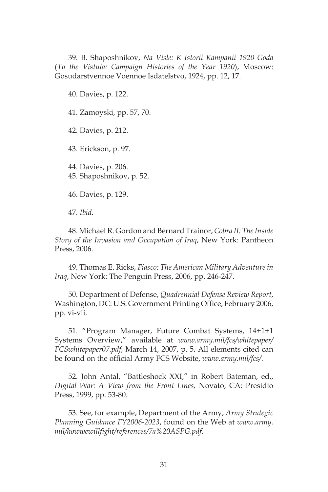39. B. Shaposhnikov, *Na Visle: K Istorii Kampanii 1920 Goda*  (*To the Vistula: Campaign Histories of the Year 1920*), Moscow: Gosudarstvennoe Voennoe Isdatelstvo, 1924, pp. 12, 17.

40. Davies, p. 122.

41. Zamoyski, pp. 57, 70.

42. Davies, p. 212.

43. Erickson, p. 97.

44. Davies, p. 206. 45. Shaposhnikov, p. 52.

46. Davies, p. 129.

47. *Ibid.*

48. Michael R. Gordon and Bernard Trainor, *Cobra II: The Inside Story of the Invasion and Occupation of Iraq*, New York: Pantheon Press, 2006.

49. Thomas E. Ricks, *Fiasco: The American Military Adventure in Iraq*, New York: The Penguin Press, 2006, pp. 246-247.

50. Department of Defense, *Quadrennial Defense Review Report*, Washington, DC: U.S. Government Printing Office, February 2006, pp. vi-vii.

51. "Program Manager, Future Combat Systems, 14+1+1 Systems Overview," available at *www.army.mil/fcs/whitepaper/ FCSwhitepaper07.pdf*, March 14, 2007, p. 5. All elements cited can be found on the official Army FCS Website, *www.army.mil/fcs/*.

52. John Antal, "Battleshock XXI," in Robert Bateman, ed., *Digital War: A View from the Front Lines,* Novato, CA: Presidio Press, 1999, pp. 53-80.

53. See, for example, Department of the Army, *Army Strategic Planning Guidance FY2006-2023*, found on the Web at *www.army. mil/howwewillfight/references/7a%20ASPG.pdf*.